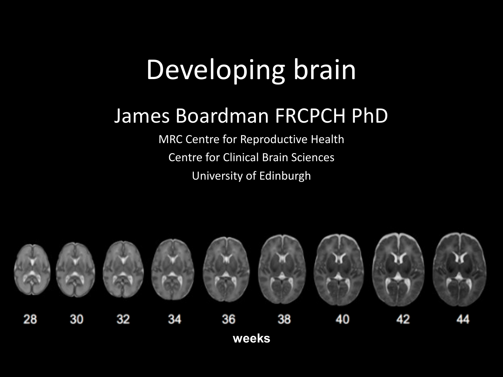## Developing brain

#### James Boardman FRCPCH PhD

MRC Centre for Reproductive Health Centre for Clinical Brain Sciences University of Edinburgh

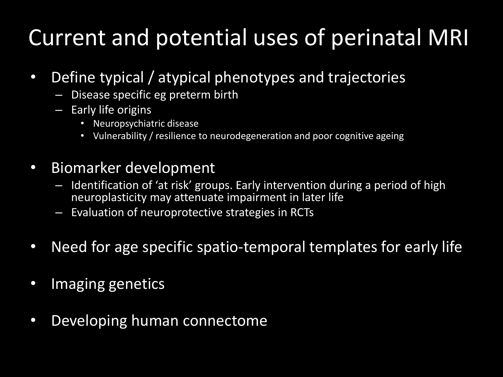### Current and potential uses of perinatal MRI

- Define typical / atypical phenotypes and trajectories
	- Disease specific eg preterm birth
	- Early life origins
		- Neuropsychiatric disease
		- Vulnerability / resilience to neurodegeneration and poor cognitive ageing
- Biomarker development
	- Identification of 'at risk' groups. Early intervention during a period of high neuroplasticity may attenuate impairment in later life
	- Evaluation of neuroprotective strategies in RCTs
- Need for age specific spatio-temporal templates for early life
- Imaging genetics
- Developing human connectome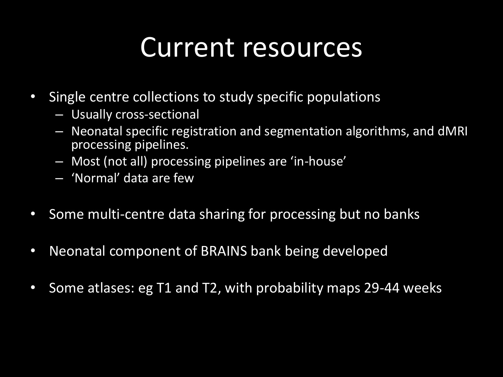## Current resources

- Single centre collections to study specific populations
	- Usually cross-sectional
	- Neonatal specific registration and segmentation algorithms, and dMRI processing pipelines.
	- Most (not all) processing pipelines are 'in-house'
	- 'Normal' data are few
- Some multi-centre data sharing for processing but no banks
- Neonatal component of BRAINS bank being developed
- Some atlases: eg T1 and T2, with probability maps 29-44 weeks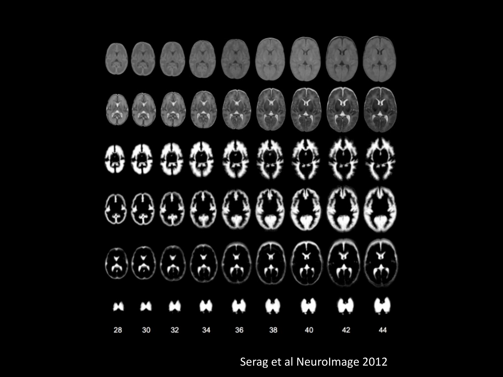![](_page_3_Picture_0.jpeg)

Serag et al NeuroImage 2012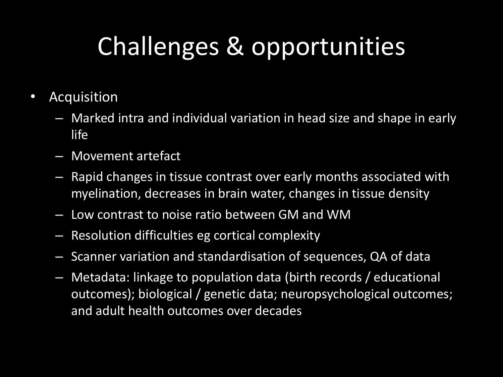# Challenges & opportunities

- Acquisition
	- Marked intra and individual variation in head size and shape in early life
	- Movement artefact
	- Rapid changes in tissue contrast over early months associated with myelination, decreases in brain water, changes in tissue density
	- Low contrast to noise ratio between GM and WM
	- Resolution difficulties eg cortical complexity
	- Scanner variation and standardisation of sequences, QA of data
	- Metadata: linkage to population data (birth records / educational outcomes); biological / genetic data; neuropsychological outcomes; and adult health outcomes over decades